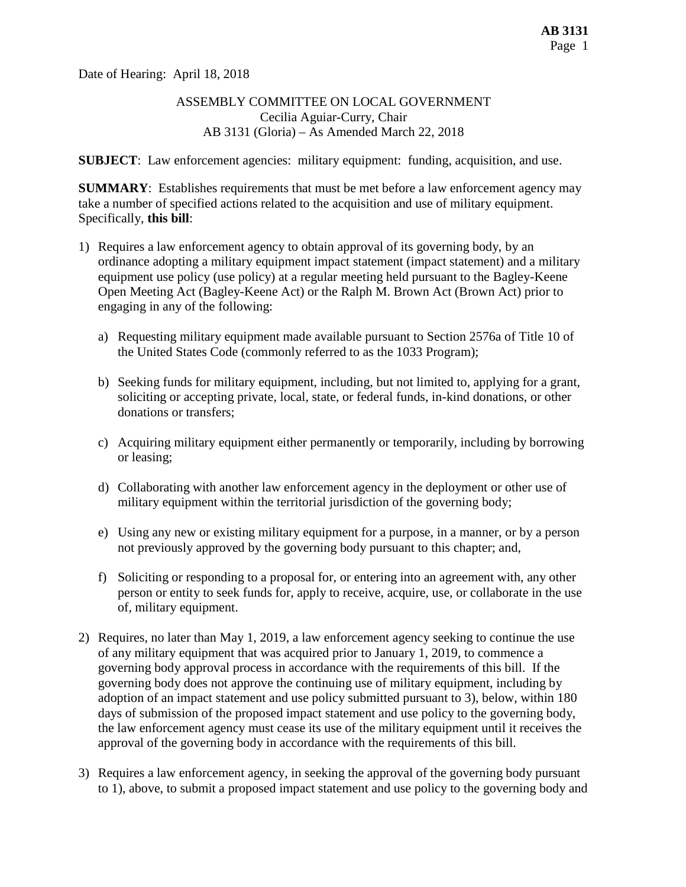Date of Hearing: April 18, 2018

### ASSEMBLY COMMITTEE ON LOCAL GOVERNMENT Cecilia Aguiar-Curry, Chair AB 3131 (Gloria) – As Amended March 22, 2018

**SUBJECT**: Law enforcement agencies: military equipment: funding, acquisition, and use.

**SUMMARY**: Establishes requirements that must be met before a law enforcement agency may take a number of specified actions related to the acquisition and use of military equipment. Specifically, **this bill**:

- 1) Requires a law enforcement agency to obtain approval of its governing body, by an ordinance adopting a military equipment impact statement (impact statement) and a military equipment use policy (use policy) at a regular meeting held pursuant to the Bagley-Keene Open Meeting Act (Bagley-Keene Act) or the Ralph M. Brown Act (Brown Act) prior to engaging in any of the following:
	- a) Requesting military equipment made available pursuant to Section 2576a of Title 10 of the United States Code (commonly referred to as the 1033 Program);
	- b) Seeking funds for military equipment, including, but not limited to, applying for a grant, soliciting or accepting private, local, state, or federal funds, in-kind donations, or other donations or transfers;
	- c) Acquiring military equipment either permanently or temporarily, including by borrowing or leasing;
	- d) Collaborating with another law enforcement agency in the deployment or other use of military equipment within the territorial jurisdiction of the governing body;
	- e) Using any new or existing military equipment for a purpose, in a manner, or by a person not previously approved by the governing body pursuant to this chapter; and,
	- f) Soliciting or responding to a proposal for, or entering into an agreement with, any other person or entity to seek funds for, apply to receive, acquire, use, or collaborate in the use of, military equipment.
- 2) Requires, no later than May 1, 2019, a law enforcement agency seeking to continue the use of any military equipment that was acquired prior to January 1, 2019, to commence a governing body approval process in accordance with the requirements of this bill. If the governing body does not approve the continuing use of military equipment, including by adoption of an impact statement and use policy submitted pursuant to 3), below, within 180 days of submission of the proposed impact statement and use policy to the governing body, the law enforcement agency must cease its use of the military equipment until it receives the approval of the governing body in accordance with the requirements of this bill.
- 3) Requires a law enforcement agency, in seeking the approval of the governing body pursuant to 1), above, to submit a proposed impact statement and use policy to the governing body and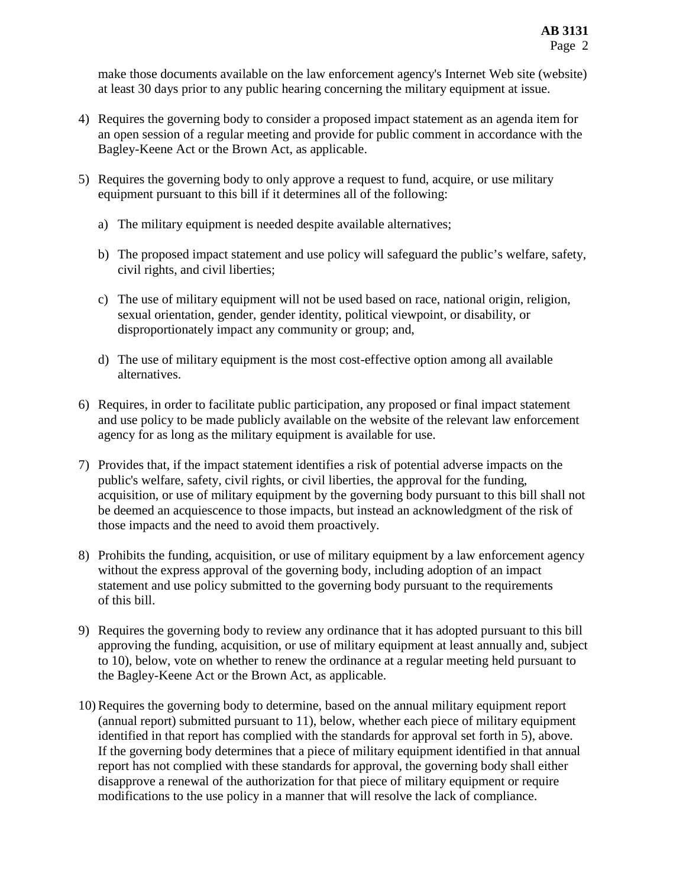make those documents available on the law enforcement agency's Internet Web site (website) at least 30 days prior to any public hearing concerning the military equipment at issue.

- 4) Requires the governing body to consider a proposed impact statement as an agenda item for an open session of a regular meeting and provide for public comment in accordance with the Bagley-Keene Act or the Brown Act, as applicable.
- 5) Requires the governing body to only approve a request to fund, acquire, or use military equipment pursuant to this bill if it determines all of the following:
	- a) The military equipment is needed despite available alternatives;
	- b) The proposed impact statement and use policy will safeguard the public's welfare, safety, civil rights, and civil liberties;
	- c) The use of military equipment will not be used based on race, national origin, religion, sexual orientation, gender, gender identity, political viewpoint, or disability, or disproportionately impact any community or group; and,
	- d) The use of military equipment is the most cost-effective option among all available alternatives.
- 6) Requires, in order to facilitate public participation, any proposed or final impact statement and use policy to be made publicly available on the website of the relevant law enforcement agency for as long as the military equipment is available for use.
- 7) Provides that, if the impact statement identifies a risk of potential adverse impacts on the public's welfare, safety, civil rights, or civil liberties, the approval for the funding, acquisition, or use of military equipment by the governing body pursuant to this bill shall not be deemed an acquiescence to those impacts, but instead an acknowledgment of the risk of those impacts and the need to avoid them proactively.
- 8) Prohibits the funding, acquisition, or use of military equipment by a law enforcement agency without the express approval of the governing body, including adoption of an impact statement and use policy submitted to the governing body pursuant to the requirements of this bill.
- 9) Requires the governing body to review any ordinance that it has adopted pursuant to this bill approving the funding, acquisition, or use of military equipment at least annually and, subject to 10), below, vote on whether to renew the ordinance at a regular meeting held pursuant to the Bagley-Keene Act or the Brown Act, as applicable.
- 10) Requires the governing body to determine, based on the annual military equipment report (annual report) submitted pursuant to 11), below, whether each piece of military equipment identified in that report has complied with the standards for approval set forth in 5), above. If the governing body determines that a piece of military equipment identified in that annual report has not complied with these standards for approval, the governing body shall either disapprove a renewal of the authorization for that piece of military equipment or require modifications to the use policy in a manner that will resolve the lack of compliance.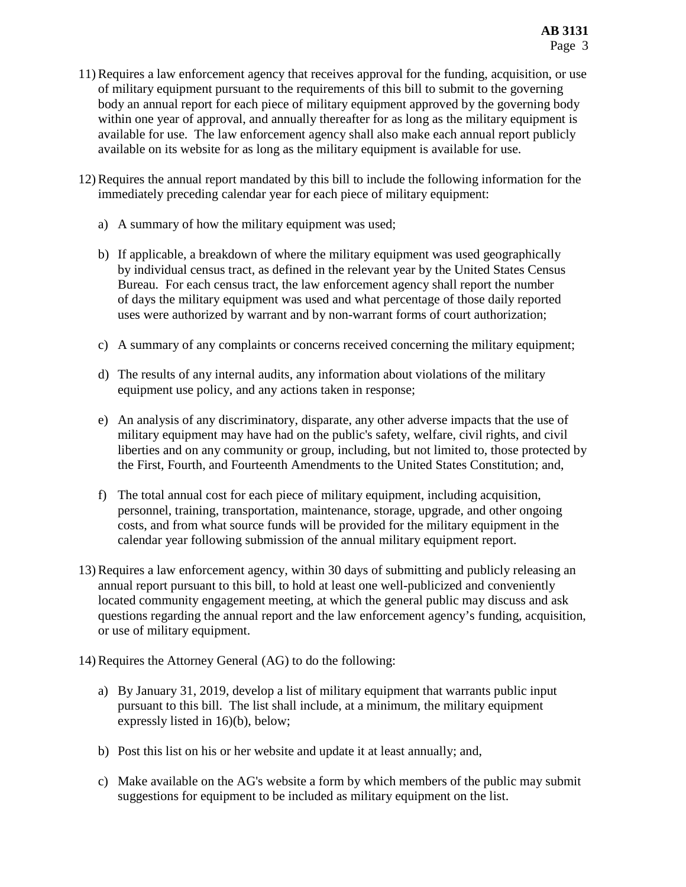- 11) Requires a law enforcement agency that receives approval for the funding, acquisition, or use of military equipment pursuant to the requirements of this bill to submit to the governing body an annual report for each piece of military equipment approved by the governing body within one year of approval, and annually thereafter for as long as the military equipment is available for use. The law enforcement agency shall also make each annual report publicly available on its website for as long as the military equipment is available for use.
- 12) Requires the annual report mandated by this bill to include the following information for the immediately preceding calendar year for each piece of military equipment:
	- a) A summary of how the military equipment was used;
	- b) If applicable, a breakdown of where the military equipment was used geographically by individual census tract, as defined in the relevant year by the United States Census Bureau. For each census tract, the law enforcement agency shall report the number of days the military equipment was used and what percentage of those daily reported uses were authorized by warrant and by non-warrant forms of court authorization;
	- c) A summary of any complaints or concerns received concerning the military equipment;
	- d) The results of any internal audits, any information about violations of the military equipment use policy, and any actions taken in response;
	- e) An analysis of any discriminatory, disparate, any other adverse impacts that the use of military equipment may have had on the public's safety, welfare, civil rights, and civil liberties and on any community or group, including, but not limited to, those protected by the First, Fourth, and Fourteenth Amendments to the United States Constitution; and,
	- f) The total annual cost for each piece of military equipment, including acquisition, personnel, training, transportation, maintenance, storage, upgrade, and other ongoing costs, and from what source funds will be provided for the military equipment in the calendar year following submission of the annual military equipment report.
- 13) Requires a law enforcement agency, within 30 days of submitting and publicly releasing an annual report pursuant to this bill, to hold at least one well-publicized and conveniently located community engagement meeting, at which the general public may discuss and ask questions regarding the annual report and the law enforcement agency's funding, acquisition, or use of military equipment.
- 14) Requires the Attorney General (AG) to do the following:
	- a) By January 31, 2019, develop a list of military equipment that warrants public input pursuant to this bill. The list shall include, at a minimum, the military equipment expressly listed in 16)(b), below;
	- b) Post this list on his or her website and update it at least annually; and,
	- c) Make available on the AG's website a form by which members of the public may submit suggestions for equipment to be included as military equipment on the list.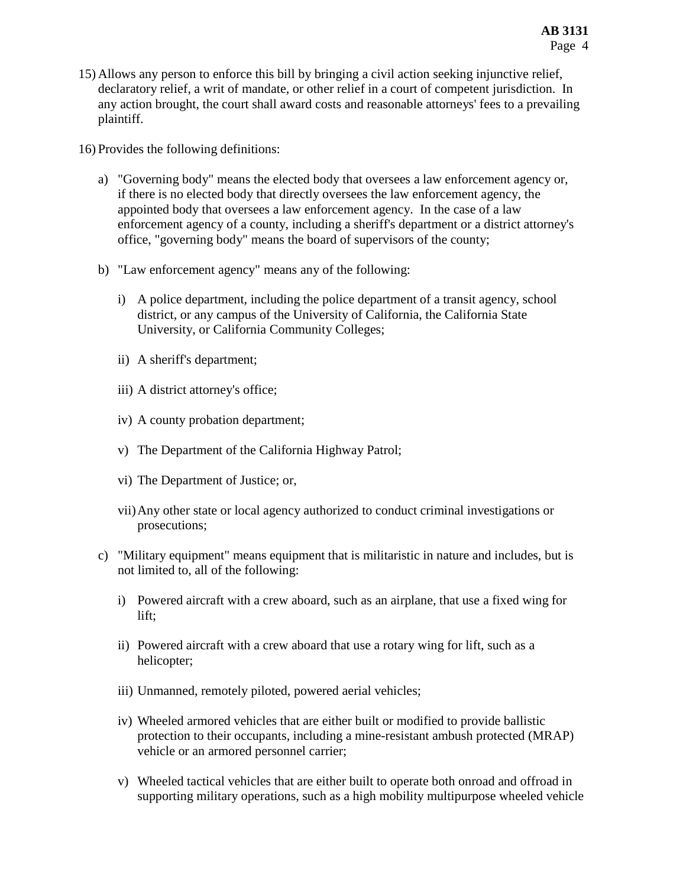15) Allows any person to enforce this bill by bringing a civil action seeking injunctive relief, declaratory relief, a writ of mandate, or other relief in a court of competent jurisdiction. In any action brought, the court shall award costs and reasonable attorneys' fees to a prevailing plaintiff.

16) Provides the following definitions:

- a) "Governing body" means the elected body that oversees a law enforcement agency or, if there is no elected body that directly oversees the law enforcement agency, the appointed body that oversees a law enforcement agency. In the case of a law enforcement agency of a county, including a sheriff's department or a district attorney's office, "governing body" means the board of supervisors of the county;
- b) "Law enforcement agency" means any of the following:
	- i) A police department, including the police department of a transit agency, school district, or any campus of the University of California, the California State University, or California Community Colleges;
	- ii) A sheriff's department;
	- iii) A district attorney's office;
	- iv) A county probation department;
	- v) The Department of the California Highway Patrol;
	- vi) The Department of Justice; or,
	- vii)Any other state or local agency authorized to conduct criminal investigations or prosecutions;
- c) "Military equipment" means equipment that is militaristic in nature and includes, but is not limited to, all of the following:
	- i) Powered aircraft with a crew aboard, such as an airplane, that use a fixed wing for lift;
	- ii) Powered aircraft with a crew aboard that use a rotary wing for lift, such as a helicopter;
	- iii) Unmanned, remotely piloted, powered aerial vehicles;
	- iv) Wheeled armored vehicles that are either built or modified to provide ballistic protection to their occupants, including a mine-resistant ambush protected (MRAP) vehicle or an armored personnel carrier;
	- v) Wheeled tactical vehicles that are either built to operate both onroad and offroad in supporting military operations, such as a high mobility multipurpose wheeled vehicle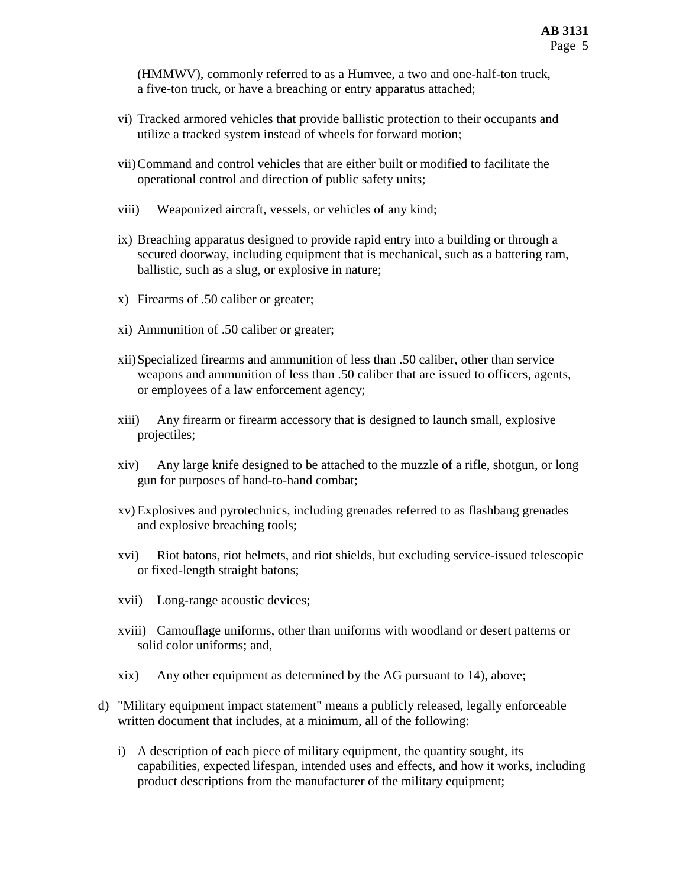(HMMWV), commonly referred to as a Humvee, a two and one-half-ton truck, a five-ton truck, or have a breaching or entry apparatus attached;

- vi) Tracked armored vehicles that provide ballistic protection to their occupants and utilize a tracked system instead of wheels for forward motion;
- vii)Command and control vehicles that are either built or modified to facilitate the operational control and direction of public safety units;
- viii) Weaponized aircraft, vessels, or vehicles of any kind;
- ix) Breaching apparatus designed to provide rapid entry into a building or through a secured doorway, including equipment that is mechanical, such as a battering ram, ballistic, such as a slug, or explosive in nature;
- x) Firearms of .50 caliber or greater;
- xi) Ammunition of .50 caliber or greater;
- xii)Specialized firearms and ammunition of less than .50 caliber, other than service weapons and ammunition of less than .50 caliber that are issued to officers, agents, or employees of a law enforcement agency;
- xiii) Any firearm or firearm accessory that is designed to launch small, explosive projectiles;
- xiv) Any large knife designed to be attached to the muzzle of a rifle, shotgun, or long gun for purposes of hand-to-hand combat;
- xv) Explosives and pyrotechnics, including grenades referred to as flashbang grenades and explosive breaching tools;
- xvi) Riot batons, riot helmets, and riot shields, but excluding service-issued telescopic or fixed-length straight batons;
- xvii) Long-range acoustic devices;
- xviii) Camouflage uniforms, other than uniforms with woodland or desert patterns or solid color uniforms; and,
- xix) Any other equipment as determined by the AG pursuant to 14), above;
- d) "Military equipment impact statement" means a publicly released, legally enforceable written document that includes, at a minimum, all of the following:
	- i) A description of each piece of military equipment, the quantity sought, its capabilities, expected lifespan, intended uses and effects, and how it works, including product descriptions from the manufacturer of the military equipment;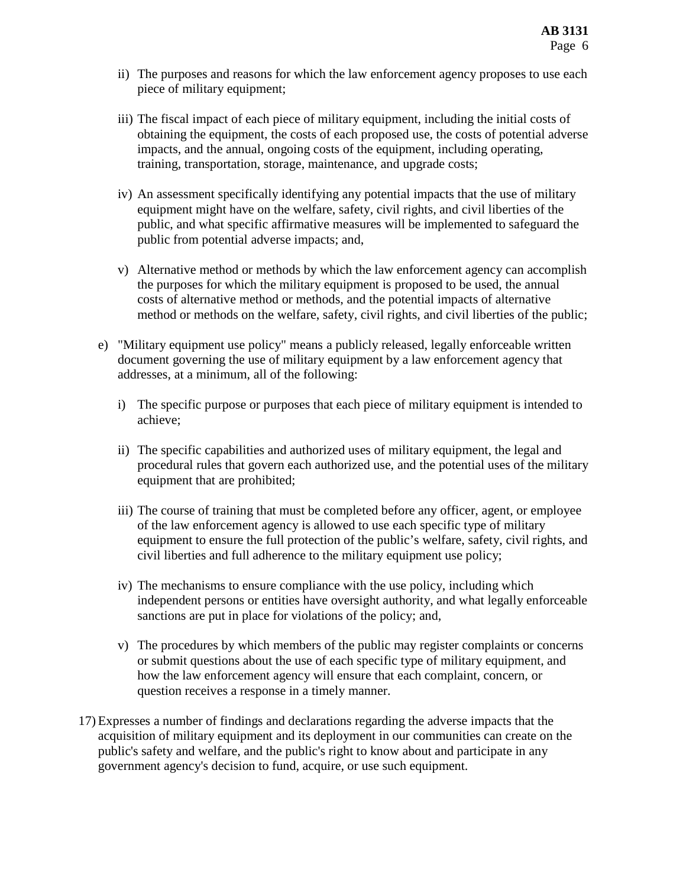- ii) The purposes and reasons for which the law enforcement agency proposes to use each piece of military equipment;
- iii) The fiscal impact of each piece of military equipment, including the initial costs of obtaining the equipment, the costs of each proposed use, the costs of potential adverse impacts, and the annual, ongoing costs of the equipment, including operating, training, transportation, storage, maintenance, and upgrade costs;
- iv) An assessment specifically identifying any potential impacts that the use of military equipment might have on the welfare, safety, civil rights, and civil liberties of the public, and what specific affirmative measures will be implemented to safeguard the public from potential adverse impacts; and,
- v) Alternative method or methods by which the law enforcement agency can accomplish the purposes for which the military equipment is proposed to be used, the annual costs of alternative method or methods, and the potential impacts of alternative method or methods on the welfare, safety, civil rights, and civil liberties of the public;
- e) "Military equipment use policy" means a publicly released, legally enforceable written document governing the use of military equipment by a law enforcement agency that addresses, at a minimum, all of the following:
	- i) The specific purpose or purposes that each piece of military equipment is intended to achieve;
	- ii) The specific capabilities and authorized uses of military equipment, the legal and procedural rules that govern each authorized use, and the potential uses of the military equipment that are prohibited;
	- iii) The course of training that must be completed before any officer, agent, or employee of the law enforcement agency is allowed to use each specific type of military equipment to ensure the full protection of the public's welfare, safety, civil rights, and civil liberties and full adherence to the military equipment use policy;
	- iv) The mechanisms to ensure compliance with the use policy, including which independent persons or entities have oversight authority, and what legally enforceable sanctions are put in place for violations of the policy; and,
	- v) The procedures by which members of the public may register complaints or concerns or submit questions about the use of each specific type of military equipment, and how the law enforcement agency will ensure that each complaint, concern, or question receives a response in a timely manner.
- 17) Expresses a number of findings and declarations regarding the adverse impacts that the acquisition of military equipment and its deployment in our communities can create on the public's safety and welfare, and the public's right to know about and participate in any government agency's decision to fund, acquire, or use such equipment.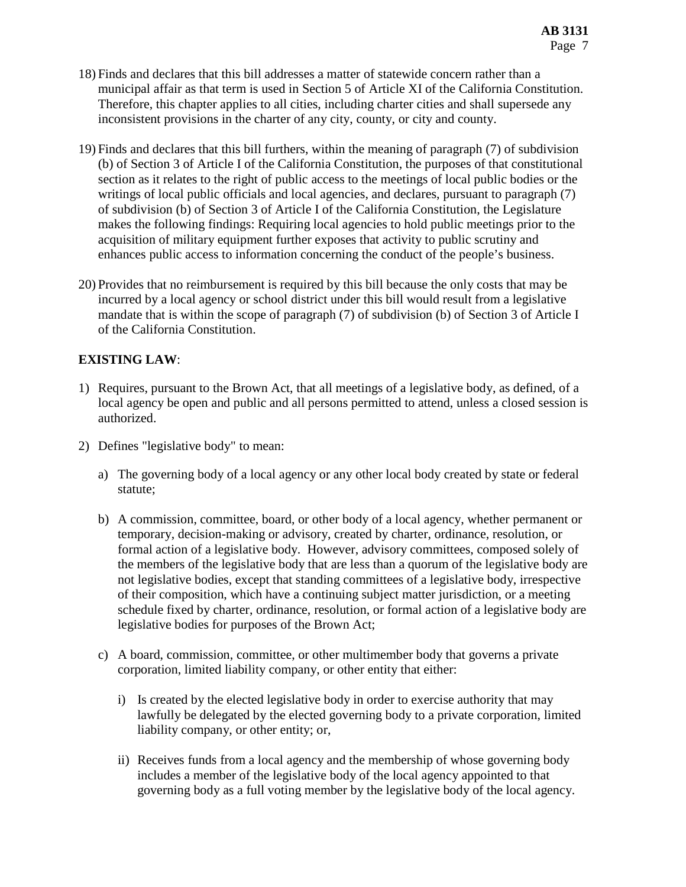- 18) Finds and declares that this bill addresses a matter of statewide concern rather than a municipal affair as that term is used in Section 5 of Article XI of the California Constitution. Therefore, this chapter applies to all cities, including charter cities and shall supersede any inconsistent provisions in the charter of any city, county, or city and county.
- 19) Finds and declares that this bill furthers, within the meaning of paragraph (7) of subdivision (b) of Section 3 of Article I of the California Constitution, the purposes of that constitutional section as it relates to the right of public access to the meetings of local public bodies or the writings of local public officials and local agencies, and declares, pursuant to paragraph (7) of subdivision (b) of Section 3 of Article I of the California Constitution, the Legislature makes the following findings: Requiring local agencies to hold public meetings prior to the acquisition of military equipment further exposes that activity to public scrutiny and enhances public access to information concerning the conduct of the people's business.
- 20) Provides that no reimbursement is required by this bill because the only costs that may be incurred by a local agency or school district under this bill would result from a legislative mandate that is within the scope of paragraph (7) of subdivision (b) of Section 3 of Article I of the California Constitution.

### **EXISTING LAW**:

- 1) Requires, pursuant to the Brown Act, that all meetings of a legislative body, as defined, of a local agency be open and public and all persons permitted to attend, unless a closed session is authorized.
- 2) Defines "legislative body" to mean:
	- a) The governing body of a local agency or any other local body created by state or federal statute;
	- b) A commission, committee, board, or other body of a local agency, whether permanent or temporary, decision-making or advisory, created by charter, ordinance, resolution, or formal action of a legislative body. However, advisory committees, composed solely of the members of the legislative body that are less than a quorum of the legislative body are not legislative bodies, except that standing committees of a legislative body, irrespective of their composition, which have a continuing subject matter jurisdiction, or a meeting schedule fixed by charter, ordinance, resolution, or formal action of a legislative body are legislative bodies for purposes of the Brown Act;
	- c) A board, commission, committee, or other multimember body that governs a private corporation, limited liability company, or other entity that either:
		- i) Is created by the elected legislative body in order to exercise authority that may lawfully be delegated by the elected governing body to a private corporation, limited liability company, or other entity; or,
		- ii) Receives funds from a local agency and the membership of whose governing body includes a member of the legislative body of the local agency appointed to that governing body as a full voting member by the legislative body of the local agency.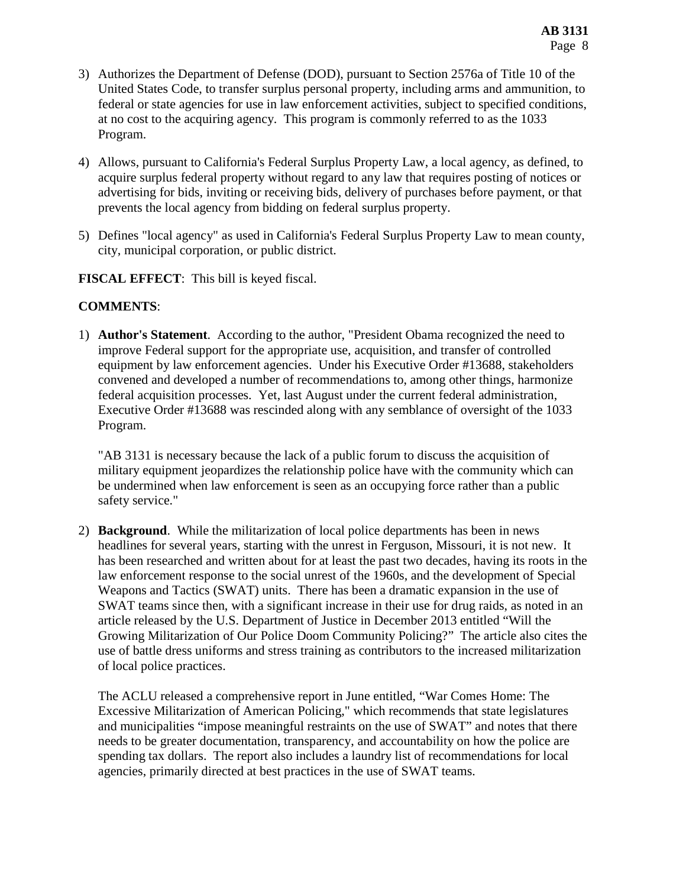- 3) Authorizes the Department of Defense (DOD), pursuant to Section 2576a of Title 10 of the United States Code, to transfer surplus personal property, including arms and ammunition, to federal or state agencies for use in law enforcement activities, subject to specified conditions, at no cost to the acquiring agency. This program is commonly referred to as the 1033 Program.
- 4) Allows, pursuant to California's Federal Surplus Property Law, a local agency, as defined, to acquire surplus federal property without regard to any law that requires posting of notices or advertising for bids, inviting or receiving bids, delivery of purchases before payment, or that prevents the local agency from bidding on federal surplus property.
- 5) Defines "local agency" as used in California's Federal Surplus Property Law to mean county, city, municipal corporation, or public district.

**FISCAL EFFECT**: This bill is keyed fiscal.

### **COMMENTS**:

1) **Author's Statement**. According to the author, "President Obama recognized the need to improve Federal support for the appropriate use, acquisition, and transfer of controlled equipment by law enforcement agencies. Under his Executive Order #13688, stakeholders convened and developed a number of recommendations to, among other things, harmonize federal acquisition processes. Yet, last August under the current federal administration, Executive Order #13688 was rescinded along with any semblance of oversight of the 1033 Program.

"AB 3131 is necessary because the lack of a public forum to discuss the acquisition of military equipment jeopardizes the relationship police have with the community which can be undermined when law enforcement is seen as an occupying force rather than a public safety service."

2) **Background**. While the militarization of local police departments has been in news headlines for several years, starting with the unrest in Ferguson, Missouri, it is not new. It has been researched and written about for at least the past two decades, having its roots in the law enforcement response to the social unrest of the 1960s, and the development of Special Weapons and Tactics (SWAT) units. There has been a dramatic expansion in the use of SWAT teams since then, with a significant increase in their use for drug raids, as noted in an article released by the U.S. Department of Justice in December 2013 entitled "Will the Growing Militarization of Our Police Doom Community Policing?" The article also cites the use of battle dress uniforms and stress training as contributors to the increased militarization of local police practices.

The ACLU released a comprehensive report in June entitled, "War Comes Home: The Excessive Militarization of American Policing," which recommends that state legislatures and municipalities "impose meaningful restraints on the use of SWAT" and notes that there needs to be greater documentation, transparency, and accountability on how the police are spending tax dollars. The report also includes a laundry list of recommendations for local agencies, primarily directed at best practices in the use of SWAT teams.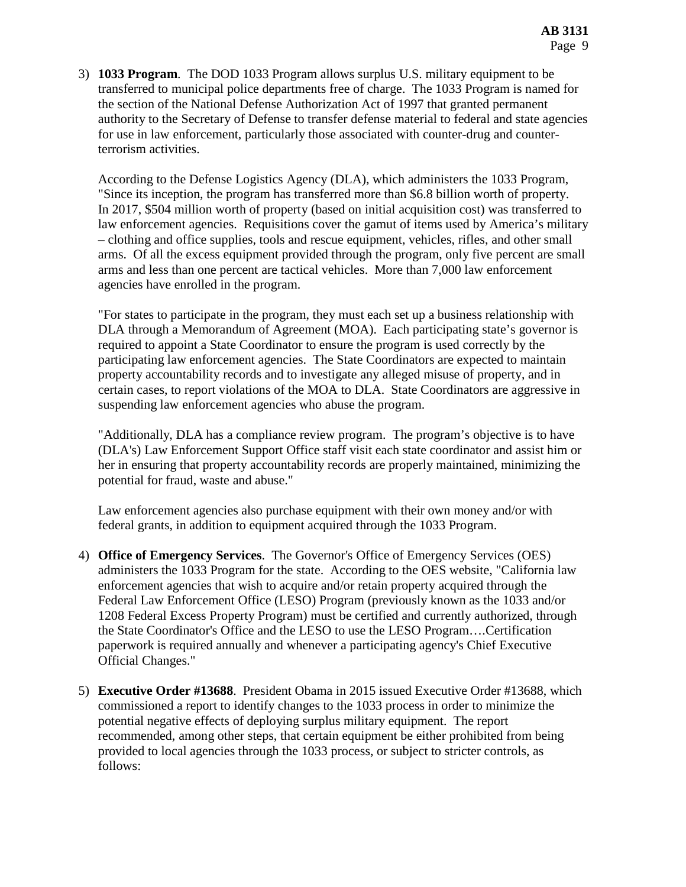3) **1033 Program**. The DOD 1033 Program allows surplus U.S. military equipment to be transferred to municipal police departments free of charge. The 1033 Program is named for the section of the National Defense Authorization Act of 1997 that granted permanent authority to the Secretary of Defense to transfer defense material to federal and state agencies for use in law enforcement, particularly those associated with counter-drug and counterterrorism activities.

According to the Defense Logistics Agency (DLA), which administers the 1033 Program, "Since its inception, the program has transferred more than \$6.8 billion worth of property. In 2017, \$504 million worth of property (based on initial acquisition cost) was transferred to law enforcement agencies. Requisitions cover the gamut of items used by America's military – clothing and office supplies, tools and rescue equipment, vehicles, rifles, and other small arms. Of all the excess equipment provided through the program, only five percent are small arms and less than one percent are tactical vehicles. More than 7,000 law enforcement agencies have enrolled in the program.

"For states to participate in the program, they must each set up a business relationship with DLA through a Memorandum of Agreement (MOA). Each participating state's governor is required to appoint a State Coordinator to ensure the program is used correctly by the participating law enforcement agencies. The State Coordinators are expected to maintain property accountability records and to investigate any alleged misuse of property, and in certain cases, to report violations of the MOA to DLA. State Coordinators are aggressive in suspending law enforcement agencies who abuse the program.

"Additionally, DLA has a compliance review program. The program's objective is to have (DLA's) Law Enforcement Support Office staff visit each state coordinator and assist him or her in ensuring that property accountability records are properly maintained, minimizing the potential for fraud, waste and abuse."

Law enforcement agencies also purchase equipment with their own money and/or with federal grants, in addition to equipment acquired through the 1033 Program.

- 4) **Office of Emergency Services**. The Governor's Office of Emergency Services (OES) administers the 1033 Program for the state. According to the OES website, "California law enforcement agencies that wish to acquire and/or retain property acquired through the Federal Law Enforcement Office (LESO) Program (previously known as the 1033 and/or 1208 Federal Excess Property Program) must be certified and currently authorized, through the State Coordinator's Office and the LESO to use the LESO Program….Certification paperwork is required annually and whenever a participating agency's Chief Executive Official Changes."
- 5) **Executive Order #13688**. President Obama in 2015 issued Executive Order #13688, which commissioned a report to identify changes to the 1033 process in order to minimize the potential negative effects of deploying surplus military equipment. The report recommended, among other steps, that certain equipment be either prohibited from being provided to local agencies through the 1033 process, or subject to stricter controls, as follows: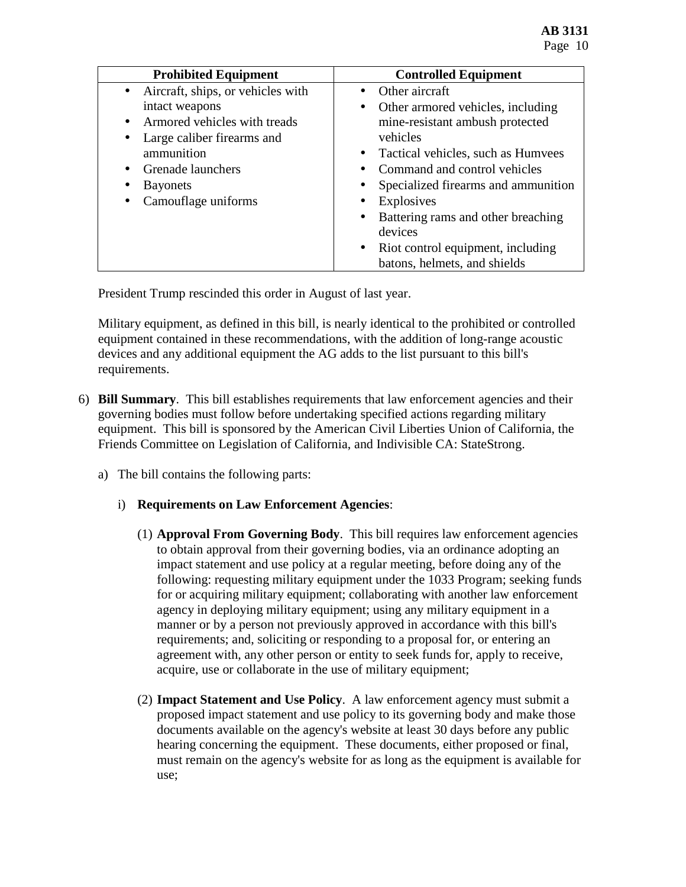| <b>Prohibited Equipment</b>                    | <b>Controlled Equipment</b>                     |
|------------------------------------------------|-------------------------------------------------|
| Aircraft, ships, or vehicles with<br>$\bullet$ | $\bullet$ Other aircraft                        |
| intact weapons                                 | Other armored vehicles, including<br>$\bullet$  |
| Armored vehicles with treads                   | mine-resistant ambush protected                 |
| Large caliber firearms and<br>٠                | vehicles                                        |
| ammunition                                     | Tactical vehicles, such as Humvees<br>$\bullet$ |
| Grenade launchers                              | Command and control vehicles<br>$\bullet$       |
| <b>B</b> ayonets                               | Specialized firearms and ammunition             |
| Camouflage uniforms                            | Explosives<br>$\bullet$                         |
|                                                | Battering rams and other breaching<br>$\bullet$ |
|                                                | devices                                         |
|                                                | Riot control equipment, including<br>$\bullet$  |
|                                                | batons, helmets, and shields                    |

President Trump rescinded this order in August of last year.

Military equipment, as defined in this bill, is nearly identical to the prohibited or controlled equipment contained in these recommendations, with the addition of long-range acoustic devices and any additional equipment the AG adds to the list pursuant to this bill's requirements.

- 6) **Bill Summary**. This bill establishes requirements that law enforcement agencies and their governing bodies must follow before undertaking specified actions regarding military equipment. This bill is sponsored by the American Civil Liberties Union of California, the Friends Committee on Legislation of California, and Indivisible CA: StateStrong.
	- a) The bill contains the following parts:

### i) **Requirements on Law Enforcement Agencies**:

- (1) **Approval From Governing Body**. This bill requires law enforcement agencies to obtain approval from their governing bodies, via an ordinance adopting an impact statement and use policy at a regular meeting, before doing any of the following: requesting military equipment under the 1033 Program; seeking funds for or acquiring military equipment; collaborating with another law enforcement agency in deploying military equipment; using any military equipment in a manner or by a person not previously approved in accordance with this bill's requirements; and, soliciting or responding to a proposal for, or entering an agreement with, any other person or entity to seek funds for, apply to receive, acquire, use or collaborate in the use of military equipment;
- (2) **Impact Statement and Use Policy**. A law enforcement agency must submit a proposed impact statement and use policy to its governing body and make those documents available on the agency's website at least 30 days before any public hearing concerning the equipment. These documents, either proposed or final, must remain on the agency's website for as long as the equipment is available for use;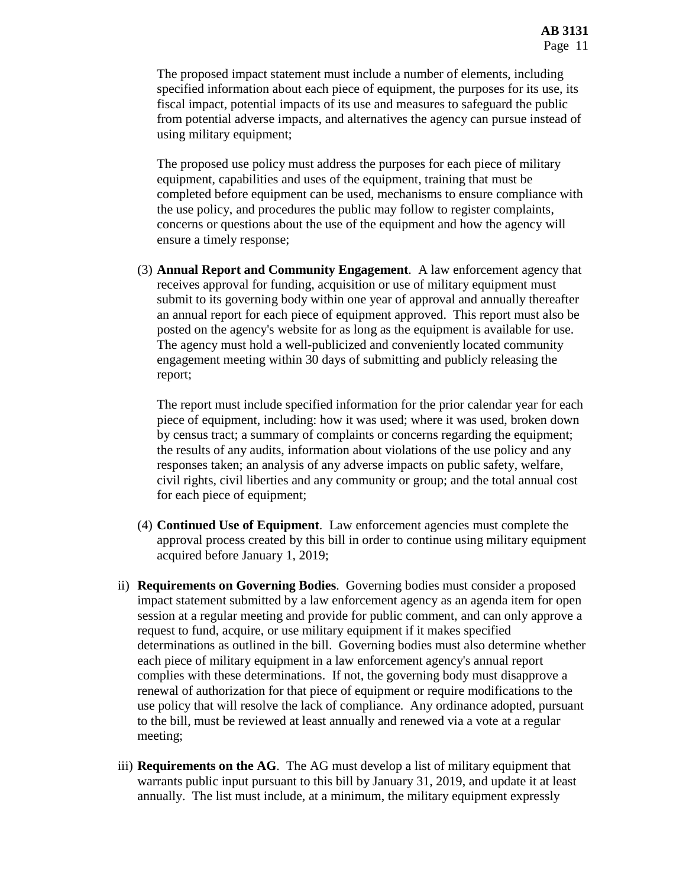The proposed impact statement must include a number of elements, including specified information about each piece of equipment, the purposes for its use, its fiscal impact, potential impacts of its use and measures to safeguard the public from potential adverse impacts, and alternatives the agency can pursue instead of using military equipment;

The proposed use policy must address the purposes for each piece of military equipment, capabilities and uses of the equipment, training that must be completed before equipment can be used, mechanisms to ensure compliance with the use policy, and procedures the public may follow to register complaints, concerns or questions about the use of the equipment and how the agency will ensure a timely response;

(3) **Annual Report and Community Engagement**. A law enforcement agency that receives approval for funding, acquisition or use of military equipment must submit to its governing body within one year of approval and annually thereafter an annual report for each piece of equipment approved. This report must also be posted on the agency's website for as long as the equipment is available for use. The agency must hold a well-publicized and conveniently located community engagement meeting within 30 days of submitting and publicly releasing the report;

The report must include specified information for the prior calendar year for each piece of equipment, including: how it was used; where it was used, broken down by census tract; a summary of complaints or concerns regarding the equipment; the results of any audits, information about violations of the use policy and any responses taken; an analysis of any adverse impacts on public safety, welfare, civil rights, civil liberties and any community or group; and the total annual cost for each piece of equipment;

- (4) **Continued Use of Equipment**. Law enforcement agencies must complete the approval process created by this bill in order to continue using military equipment acquired before January 1, 2019;
- ii) **Requirements on Governing Bodies**. Governing bodies must consider a proposed impact statement submitted by a law enforcement agency as an agenda item for open session at a regular meeting and provide for public comment, and can only approve a request to fund, acquire, or use military equipment if it makes specified determinations as outlined in the bill. Governing bodies must also determine whether each piece of military equipment in a law enforcement agency's annual report complies with these determinations. If not, the governing body must disapprove a renewal of authorization for that piece of equipment or require modifications to the use policy that will resolve the lack of compliance. Any ordinance adopted, pursuant to the bill, must be reviewed at least annually and renewed via a vote at a regular meeting;
- iii) **Requirements on the AG**. The AG must develop a list of military equipment that warrants public input pursuant to this bill by January 31, 2019, and update it at least annually. The list must include, at a minimum, the military equipment expressly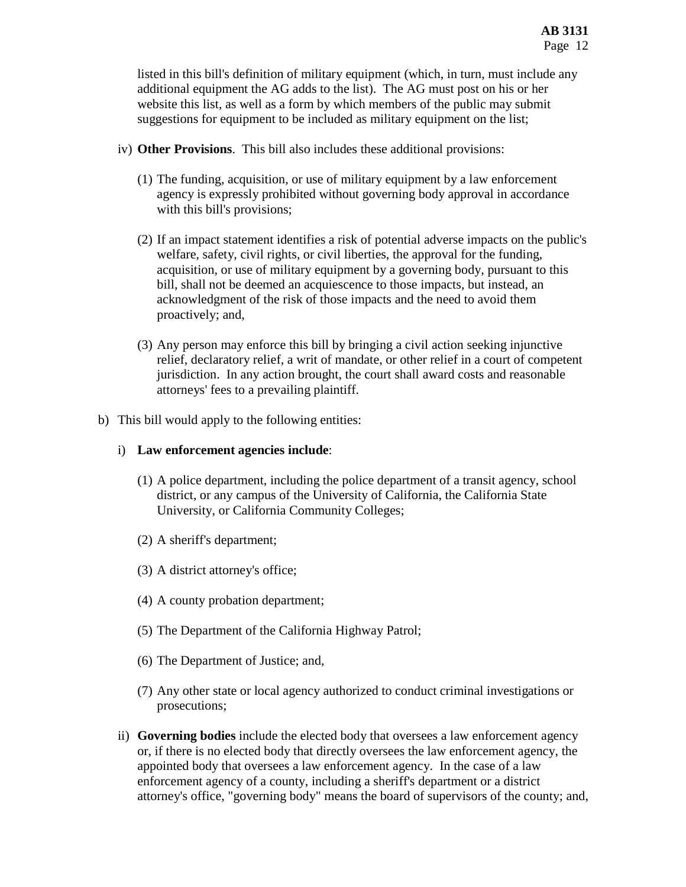listed in this bill's definition of military equipment (which, in turn, must include any additional equipment the AG adds to the list). The AG must post on his or her website this list, as well as a form by which members of the public may submit suggestions for equipment to be included as military equipment on the list;

- iv) **Other Provisions**. This bill also includes these additional provisions:
	- (1) The funding, acquisition, or use of military equipment by a law enforcement agency is expressly prohibited without governing body approval in accordance with this bill's provisions;
	- (2) If an impact statement identifies a risk of potential adverse impacts on the public's welfare, safety, civil rights, or civil liberties, the approval for the funding, acquisition, or use of military equipment by a governing body, pursuant to this bill, shall not be deemed an acquiescence to those impacts, but instead, an acknowledgment of the risk of those impacts and the need to avoid them proactively; and,
	- (3) Any person may enforce this bill by bringing a civil action seeking injunctive relief, declaratory relief, a writ of mandate, or other relief in a court of competent jurisdiction. In any action brought, the court shall award costs and reasonable attorneys' fees to a prevailing plaintiff.
- b) This bill would apply to the following entities:

## i) **Law enforcement agencies include**:

- (1) A police department, including the police department of a transit agency, school district, or any campus of the University of California, the California State University, or California Community Colleges;
- (2) A sheriff's department;
- (3) A district attorney's office;
- (4) A county probation department;
- (5) The Department of the California Highway Patrol;
- (6) The Department of Justice; and,
- (7) Any other state or local agency authorized to conduct criminal investigations or prosecutions;
- ii) **Governing bodies** include the elected body that oversees a law enforcement agency or, if there is no elected body that directly oversees the law enforcement agency, the appointed body that oversees a law enforcement agency. In the case of a law enforcement agency of a county, including a sheriff's department or a district attorney's office, "governing body" means the board of supervisors of the county; and,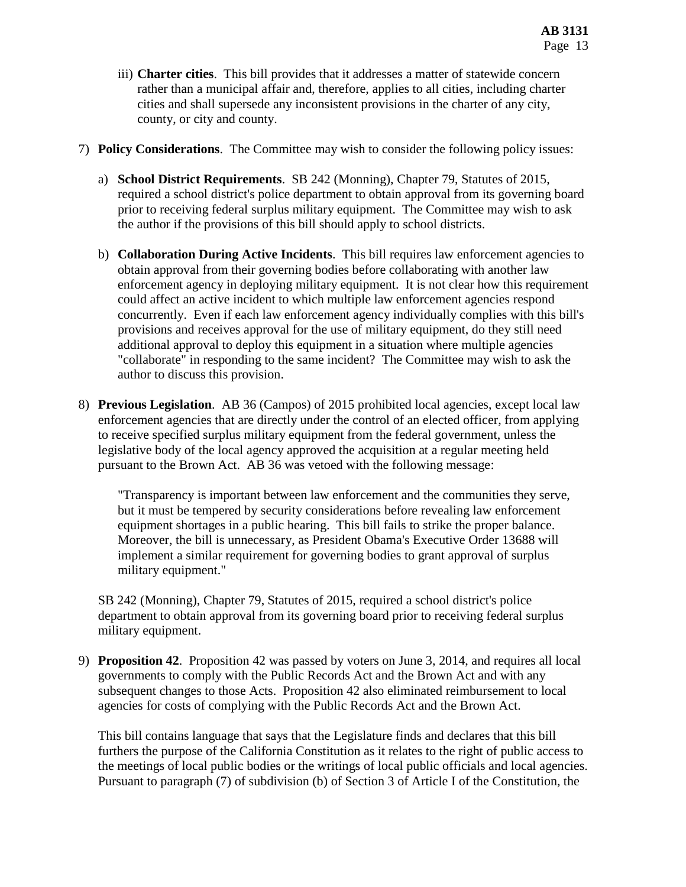- iii) **Charter cities**. This bill provides that it addresses a matter of statewide concern rather than a municipal affair and, therefore, applies to all cities, including charter cities and shall supersede any inconsistent provisions in the charter of any city, county, or city and county.
- 7) **Policy Considerations**. The Committee may wish to consider the following policy issues:
	- a) **School District Requirements**. SB 242 (Monning), Chapter 79, Statutes of 2015, required a school district's police department to obtain approval from its governing board prior to receiving federal surplus military equipment. The Committee may wish to ask the author if the provisions of this bill should apply to school districts.
	- b) **Collaboration During Active Incidents**. This bill requires law enforcement agencies to obtain approval from their governing bodies before collaborating with another law enforcement agency in deploying military equipment. It is not clear how this requirement could affect an active incident to which multiple law enforcement agencies respond concurrently. Even if each law enforcement agency individually complies with this bill's provisions and receives approval for the use of military equipment, do they still need additional approval to deploy this equipment in a situation where multiple agencies "collaborate" in responding to the same incident? The Committee may wish to ask the author to discuss this provision.
- 8) **Previous Legislation**. AB 36 (Campos) of 2015 prohibited local agencies, except local law enforcement agencies that are directly under the control of an elected officer, from applying to receive specified surplus military equipment from the federal government, unless the legislative body of the local agency approved the acquisition at a regular meeting held pursuant to the Brown Act. AB 36 was vetoed with the following message:

"Transparency is important between law enforcement and the communities they serve, but it must be tempered by security considerations before revealing law enforcement equipment shortages in a public hearing. This bill fails to strike the proper balance. Moreover, the bill is unnecessary, as President Obama's Executive Order 13688 will implement a similar requirement for governing bodies to grant approval of surplus military equipment."

SB 242 (Monning), Chapter 79, Statutes of 2015, required a school district's police department to obtain approval from its governing board prior to receiving federal surplus military equipment.

9) **Proposition 42**. Proposition 42 was passed by voters on June 3, 2014, and requires all local governments to comply with the Public Records Act and the Brown Act and with any subsequent changes to those Acts. Proposition 42 also eliminated reimbursement to local agencies for costs of complying with the Public Records Act and the Brown Act.

This bill contains language that says that the Legislature finds and declares that this bill furthers the purpose of the California Constitution as it relates to the right of public access to the meetings of local public bodies or the writings of local public officials and local agencies. Pursuant to paragraph (7) of subdivision (b) of Section 3 of Article I of the Constitution, the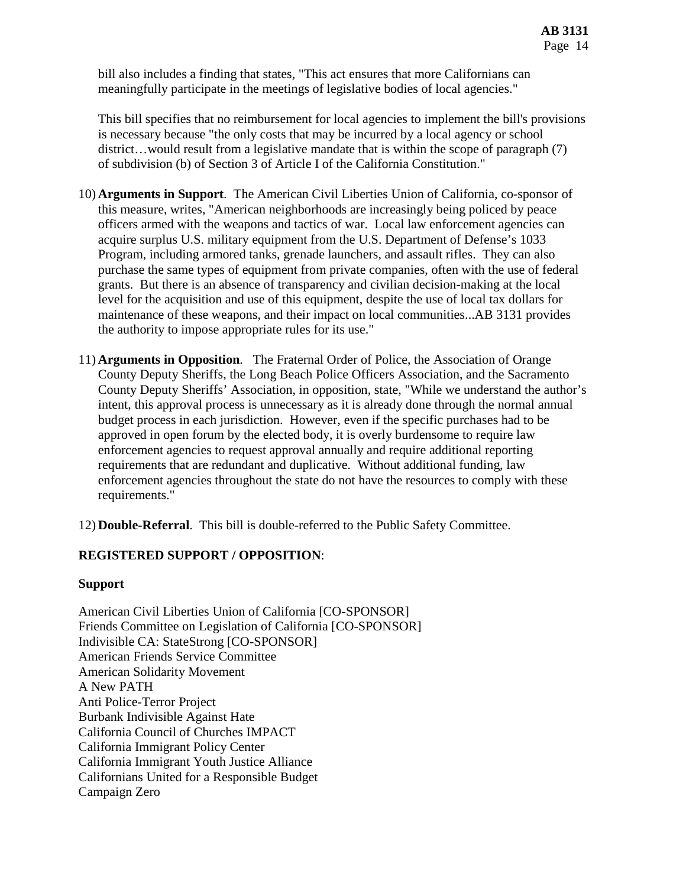bill also includes a finding that states, "This act ensures that more Californians can meaningfully participate in the meetings of legislative bodies of local agencies."

This bill specifies that no reimbursement for local agencies to implement the bill's provisions is necessary because "the only costs that may be incurred by a local agency or school district...would result from a legislative mandate that is within the scope of paragraph (7) of subdivision (b) of Section 3 of Article I of the California Constitution."

- 10) **Arguments in Support**. The American Civil Liberties Union of California, co-sponsor of this measure, writes, "American neighborhoods are increasingly being policed by peace officers armed with the weapons and tactics of war. Local law enforcement agencies can acquire surplus U.S. military equipment from the U.S. Department of Defense's 1033 Program, including armored tanks, grenade launchers, and assault rifles. They can also purchase the same types of equipment from private companies, often with the use of federal grants. But there is an absence of transparency and civilian decision-making at the local level for the acquisition and use of this equipment, despite the use of local tax dollars for maintenance of these weapons, and their impact on local communities...AB 3131 provides the authority to impose appropriate rules for its use."
- 11) **Arguments in Opposition**. The Fraternal Order of Police, the Association of Orange County Deputy Sheriffs, the Long Beach Police Officers Association, and the Sacramento County Deputy Sheriffs' Association, in opposition, state, "While we understand the author's intent, this approval process is unnecessary as it is already done through the normal annual budget process in each jurisdiction. However, even if the specific purchases had to be approved in open forum by the elected body, it is overly burdensome to require law enforcement agencies to request approval annually and require additional reporting requirements that are redundant and duplicative. Without additional funding, law enforcement agencies throughout the state do not have the resources to comply with these requirements."

12) **Double-Referral**. This bill is double-referred to the Public Safety Committee.

### **REGISTERED SUPPORT / OPPOSITION**:

### **Support**

American Civil Liberties Union of California [CO-SPONSOR] Friends Committee on Legislation of California [CO-SPONSOR] Indivisible CA: StateStrong [CO-SPONSOR] American Friends Service Committee American Solidarity Movement A New PATH Anti Police-Terror Project Burbank Indivisible Against Hate California Council of Churches IMPACT California Immigrant Policy Center California Immigrant Youth Justice Alliance Californians United for a Responsible Budget Campaign Zero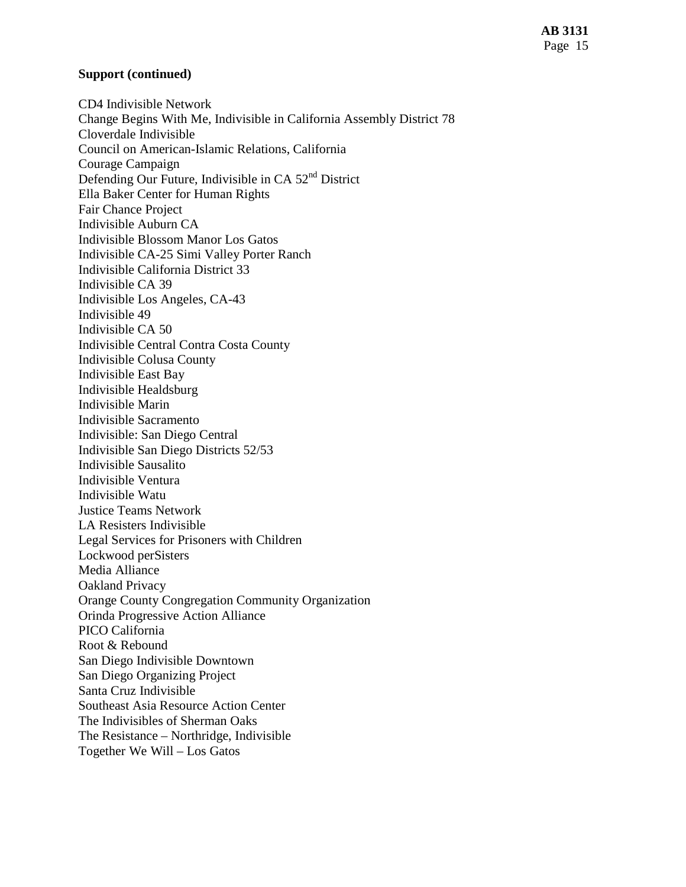### **Support (continued)**

CD4 Indivisible Network Change Begins With Me, Indivisible in California Assembly District 78 Cloverdale Indivisible Council on American-Islamic Relations, California Courage Campaign Defending Our Future, Indivisible in CA 52nd District Ella Baker Center for Human Rights Fair Chance Project Indivisible Auburn CA Indivisible Blossom Manor Los Gatos Indivisible CA-25 Simi Valley Porter Ranch Indivisible California District 33 Indivisible CA 39 Indivisible Los Angeles, CA-43 Indivisible 49 Indivisible CA 50 Indivisible Central Contra Costa County Indivisible Colusa County Indivisible East Bay Indivisible Healdsburg Indivisible Marin Indivisible Sacramento Indivisible: San Diego Central Indivisible San Diego Districts 52/53 Indivisible Sausalito Indivisible Ventura Indivisible Watu Justice Teams Network LA Resisters Indivisible Legal Services for Prisoners with Children Lockwood perSisters Media Alliance Oakland Privacy Orange County Congregation Community Organization Orinda Progressive Action Alliance PICO California Root & Rebound San Diego Indivisible Downtown San Diego Organizing Project Santa Cruz Indivisible Southeast Asia Resource Action Center The Indivisibles of Sherman Oaks The Resistance – Northridge, Indivisible Together We Will – Los Gatos